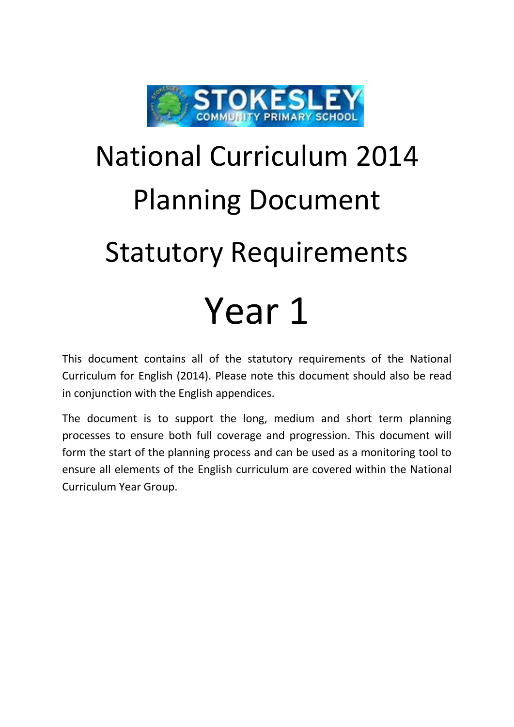

## National Curriculum 2014 Planning Document Statutory Requirements Year 1

This document contains all of the statutory requirements of the National Curriculum for English (2014). Please note this document should also be read in conjunction with the English appendices.

The document is to support the long, medium and short term planning processes to ensure both full coverage and progression. This document will form the start of the planning process and can be used as a monitoring tool to ensure all elements of the English curriculum are covered within the National Curriculum Year Group.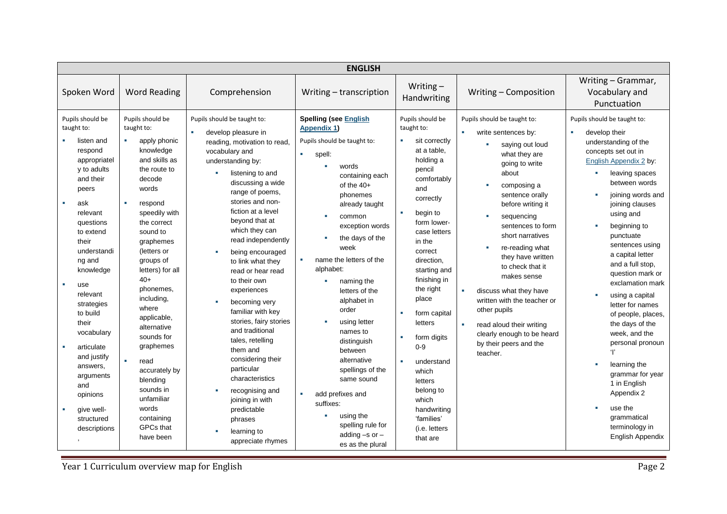| Writing $-$<br>Spoken Word<br><b>Word Reading</b><br>Comprehension<br>Writing - Composition<br>Writing - transcription<br>Handwriting<br>Pupils should be<br><b>Spelling (see English</b><br>Pupils should be<br>Pupils should be taught to:<br>Pupils should be<br>Pupils should be taught to:<br>taught to:<br>taught to:<br>taught to:<br><b>Appendix 1)</b><br>٠<br>develop pleasure in<br>write sentences by:<br>develop their<br>٠<br>Pupils should be taught to:<br>apply phonic<br>a.<br>sit correctly<br>listen and<br>n.<br>reading, motivation to read,<br>saying out loud<br>knowledge<br>at a table.<br>respond<br>vocabulary and<br>×.<br>what they are<br>spell:<br>and skills as<br>holding a<br>appropriatel<br>understanding by:<br>going to write<br>words<br>y to adults<br>pencil<br>the route to<br>listening to and<br>about<br>containing each<br>and their<br>decode<br>comfortably<br>discussing a wide<br>of the $40+$<br>composing a<br>and<br>words<br>peers<br>range of poems,<br>phonemes<br>sentence orally<br>correctly<br>stories and non-<br>$\mathbf{r}$<br>×<br>ask<br>respond<br>already taught<br>before writing it<br>fiction at a level<br>speedily with<br>begin to<br>relevant<br>×<br>sequencing<br>common<br>×.<br>beyond that at<br>form lower-<br>the correct<br>questions<br>sentences to form<br>exception words<br>which they can<br>sound to<br>case letters<br>to extend<br>short narratives<br>the days of the<br>read independently<br>their<br>in the<br>graphemes<br>week<br>re-reading what<br>×<br>understandi<br>(letters or<br>correct<br>being encouraged<br>×<br>they have written<br>name the letters of the<br>groups of<br>direction.<br>ng and<br>to link what they<br>to check that it<br>letters) for all<br>alphabet:<br>knowledge<br>starting and<br>read or hear read<br>makes sense<br>$40+$<br>finishing in<br>to their own<br>naming the<br>×<br>use<br>the right<br>phonemes,<br>experiences<br>letters of the<br>discuss what they have<br>relevant | <b>ENGLISH</b> |  |  |  |       |  |                                                                                                                                                                                                                                                                                                                                                                                                                                                                                                                                                                 |  |  |
|---------------------------------------------------------------------------------------------------------------------------------------------------------------------------------------------------------------------------------------------------------------------------------------------------------------------------------------------------------------------------------------------------------------------------------------------------------------------------------------------------------------------------------------------------------------------------------------------------------------------------------------------------------------------------------------------------------------------------------------------------------------------------------------------------------------------------------------------------------------------------------------------------------------------------------------------------------------------------------------------------------------------------------------------------------------------------------------------------------------------------------------------------------------------------------------------------------------------------------------------------------------------------------------------------------------------------------------------------------------------------------------------------------------------------------------------------------------------------------------------------------------------------------------------------------------------------------------------------------------------------------------------------------------------------------------------------------------------------------------------------------------------------------------------------------------------------------------------------------------------------------------------------------------------------------------------------------------------------------------------------------------------------------|----------------|--|--|--|-------|--|-----------------------------------------------------------------------------------------------------------------------------------------------------------------------------------------------------------------------------------------------------------------------------------------------------------------------------------------------------------------------------------------------------------------------------------------------------------------------------------------------------------------------------------------------------------------|--|--|
|                                                                                                                                                                                                                                                                                                                                                                                                                                                                                                                                                                                                                                                                                                                                                                                                                                                                                                                                                                                                                                                                                                                                                                                                                                                                                                                                                                                                                                                                                                                                                                                                                                                                                                                                                                                                                                                                                                                                                                                                                                 |                |  |  |  |       |  | Writing - Grammar,<br>Vocabulary and<br>Punctuation                                                                                                                                                                                                                                                                                                                                                                                                                                                                                                             |  |  |
| including,<br>alphabet in<br>written with the teacher or<br>becoming very<br>strategies<br>where<br>order<br>other pupils<br>familiar with key<br>to build<br>form capital<br>×.<br>applicable,<br>stories, fairy stories<br>using letter<br>their<br>letters<br>read aloud their writing<br>alternative<br>and traditional<br>names to<br>vocabulary<br>clearly enough to be heard<br>sounds for<br>form digits<br>tales, retelling<br>distinguish<br>by their peers and the<br>graphemes<br>$0-9$<br>articulate<br>them and<br>between<br>$^{\prime}$<br>teacher.<br>and justify<br>considering their<br>$\mathbf{r}$<br>alternative<br>read<br>×.<br>understand<br>answers,<br>particular<br>spellings of the<br>accurately by<br>which<br>arguments<br>characteristics<br>same sound<br>blending<br>letters<br>and<br>sounds in<br>belong to<br>recognising and<br>add prefixes and<br>opinions<br>unfamiliar<br>which<br>joining in with<br>suffixes:<br>words<br>give well-<br>handwriting<br>×<br>predictable<br>using the<br>containing<br>'families'<br>structured<br>phrases<br>spelling rule for<br><b>GPCs that</b><br>descriptions<br>(i.e. letters                                                                                                                                                                                                                                                                                                                                                                                                                                                                                                                                                                                                                                                                                                                                                                                                                                                                |                |  |  |  | place |  | Pupils should be taught to:<br>understanding of the<br>concepts set out in<br>English Appendix 2 by:<br>leaving spaces<br>between words<br>joining words and<br>joining clauses<br>using and<br>beginning to<br>punctuate<br>sentences using<br>a capital letter<br>and a full stop,<br>question mark or<br>exclamation mark<br>using a capital<br>letter for names<br>of people, places,<br>the days of the<br>week, and the<br>personal pronoun<br>learning the<br>grammar for year<br>1 in English<br>Appendix 2<br>use the<br>grammatical<br>terminology in |  |  |

**The Vear 1 Curriculum overview map for English Page 2**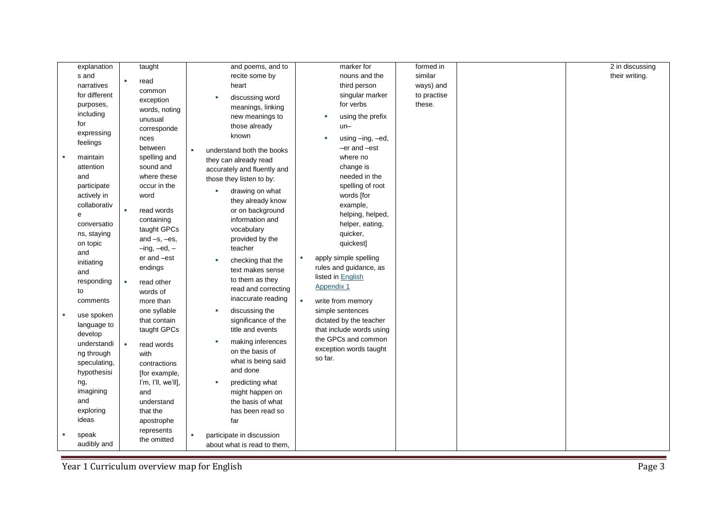| explanation                | taught                   | and poems, and to              | marker for                 | formed in   | 2 in discussing |
|----------------------------|--------------------------|--------------------------------|----------------------------|-------------|-----------------|
| s and                      |                          | recite some by                 | nouns and the              | similar     | their writing.  |
| narratives                 | read                     | heart                          | third person               | ways) and   |                 |
| for different              | common                   | discussing word                | singular marker            | to practise |                 |
| purposes,                  | exception                | meanings, linking              | for verbs                  | these.      |                 |
| including                  | words, noting            | new meanings to                | using the prefix<br>×      |             |                 |
| for                        | unusual                  | those already                  | $un-$                      |             |                 |
| expressing                 | corresponde              | known                          |                            |             |                 |
| feelings                   | nces                     |                                | using -ing, -ed,           |             |                 |
|                            | between                  | ×<br>understand both the books | -er and -est               |             |                 |
| maintain                   | spelling and             | they can already read          | where no                   |             |                 |
| attention                  | sound and<br>where these | accurately and fluently and    | change is<br>needed in the |             |                 |
| and                        | occur in the             | those they listen to by:       | spelling of root           |             |                 |
| participate<br>actively in | word                     | drawing on what                | words [for                 |             |                 |
| collaborativ               |                          | they already know              | example,                   |             |                 |
| e                          | à,<br>read words         | or on background               | helping, helped,           |             |                 |
| conversatio                | containing               | information and                | helper, eating,            |             |                 |
| ns, staying                | taught GPCs              | vocabulary                     | quicker,                   |             |                 |
| on topic                   | and $-s$ , $-es$ ,       | provided by the                | quickest]                  |             |                 |
| and                        | $-$ ing, $-$ ed, $-$     | teacher                        |                            |             |                 |
| initiating                 | er and -est              | checking that the<br>×         | apply simple spelling      |             |                 |
| and                        | endings                  | text makes sense               | rules and guidance, as     |             |                 |
| responding                 | read other<br>×          | to them as they                | listed in English          |             |                 |
| to                         | words of                 | read and correcting            | Appendix 1                 |             |                 |
| comments                   | more than                | inaccurate reading             | write from memory<br>×.    |             |                 |
|                            | one syllable             | discussing the<br>×            | simple sentences           |             |                 |
| use spoken<br><b>CO</b>    | that contain             | significance of the            | dictated by the teacher    |             |                 |
| language to<br>develop     | taught GPCs              | title and events               | that include words using   |             |                 |
| understandi                | ×                        | making inferences              | the GPCs and common        |             |                 |
| ng through                 | read words<br>with       | on the basis of                | exception words taught     |             |                 |
| speculating,               | contractions             | what is being said             | so far.                    |             |                 |
| hypothesisi                | [for example,            | and done                       |                            |             |                 |
| ng,                        | I'm, I'll, we'll],       | predicting what                |                            |             |                 |
| imagining                  | and                      | might happen on                |                            |             |                 |
| and                        | understand               | the basis of what              |                            |             |                 |
| exploring                  | that the                 | has been read so               |                            |             |                 |
| ideas                      | apostrophe               | far                            |                            |             |                 |
|                            | represents               |                                |                            |             |                 |
| speak                      | the omitted              | participate in discussion<br>× |                            |             |                 |
| audibly and                |                          | about what is read to them,    |                            |             |                 |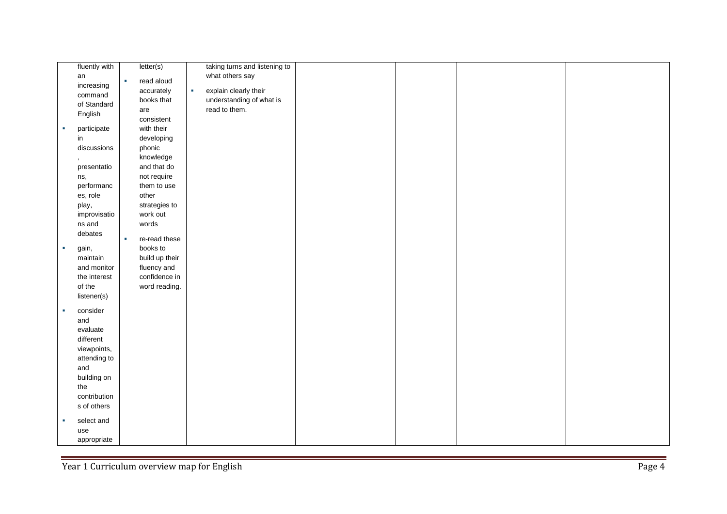|            | fluently with |   | letter(s)      |   | taking turns and listening to |  |  |
|------------|---------------|---|----------------|---|-------------------------------|--|--|
|            | an            |   |                |   | what others say               |  |  |
|            | increasing    | × | read aloud     |   |                               |  |  |
|            | command       |   | accurately     | × | explain clearly their         |  |  |
|            | of Standard   |   | books that     |   | understanding of what is      |  |  |
|            |               |   | are            |   | read to them.                 |  |  |
|            | English       |   | consistent     |   |                               |  |  |
| ×          | participate   |   | with their     |   |                               |  |  |
|            | in            |   | developing     |   |                               |  |  |
|            | discussions   |   | phonic         |   |                               |  |  |
|            |               |   | knowledge      |   |                               |  |  |
|            | presentatio   |   | and that do    |   |                               |  |  |
|            | ns,           |   | not require    |   |                               |  |  |
|            | performanc    |   | them to use    |   |                               |  |  |
|            | es, role      |   | other          |   |                               |  |  |
|            | play,         |   | strategies to  |   |                               |  |  |
|            | improvisatio  |   | work out       |   |                               |  |  |
|            | ns and        |   | words          |   |                               |  |  |
|            | debates       |   |                |   |                               |  |  |
|            |               | × | re-read these  |   |                               |  |  |
| $\sim$     | gain,         |   | books to       |   |                               |  |  |
|            | maintain      |   | build up their |   |                               |  |  |
|            | and monitor   |   | fluency and    |   |                               |  |  |
|            | the interest  |   | confidence in  |   |                               |  |  |
|            | of the        |   | word reading.  |   |                               |  |  |
|            | listener(s)   |   |                |   |                               |  |  |
| $\sim$     | consider      |   |                |   |                               |  |  |
|            | and           |   |                |   |                               |  |  |
|            | evaluate      |   |                |   |                               |  |  |
|            | different     |   |                |   |                               |  |  |
|            | viewpoints,   |   |                |   |                               |  |  |
|            | attending to  |   |                |   |                               |  |  |
|            | and           |   |                |   |                               |  |  |
|            | building on   |   |                |   |                               |  |  |
|            | the           |   |                |   |                               |  |  |
|            | contribution  |   |                |   |                               |  |  |
|            | s of others   |   |                |   |                               |  |  |
|            |               |   |                |   |                               |  |  |
| <b>COL</b> | select and    |   |                |   |                               |  |  |
|            | use           |   |                |   |                               |  |  |
|            | appropriate   |   |                |   |                               |  |  |